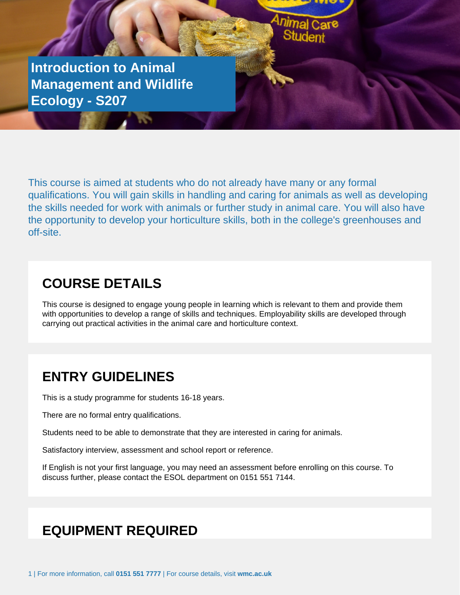**Introduction to Animal Management and Wildlife Ecology - S207**

Or Application Form to be returned to Student Services

This course is aimed at students who do not already have many or any formal qualifications. You will gain skills in handling and caring for animals as well as developing the skills needed for work with animals or further study in animal care. You will also have the opportunity to develop your horticulture skills, both in the college's greenhouses and off-site.

#### **COURSE DETAILS**

This course is designed to engage young people in learning which is relevant to them and provide them with opportunities to develop a range of skills and techniques. Employability skills are developed through carrying out practical activities in the animal care and horticulture context.

#### **ENTRY GUIDELINES**

This is a study programme for students 16-18 years.

There are no formal entry qualifications.

Students need to be able to demonstrate that they are interested in caring for animals.

Satisfactory interview, assessment and school report or reference.

If English is not your first language, you may need an assessment before enrolling on this course. To discuss further, please contact the ESOL department on 0151 551 7144.

### **EQUIPMENT REQUIRED**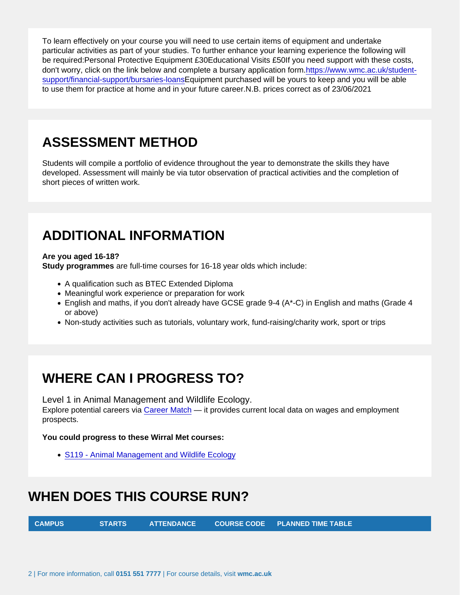To learn effectively on your course you will need to use certain items of equipment and undertake particular activities as part of your studies. To further enhance your learning experience the following will be required:Personal Protective Equipment £30Educational Visits £50If you need support with these costs, don't worry, click on the link below and complete a bursary application form[.https://www.wmc.ac.uk/student](�� h t t p s : / / w w w . w m c . a c . u k / s t u d e n t - s u p p o r t / f i n a n c i a l - s u p p o r t / b u r s a r i e s - l o a n s)[support/financial-support/bursaries-loansE](�� h t t p s : / / w w w . w m c . a c . u k / s t u d e n t - s u p p o r t / f i n a n c i a l - s u p p o r t / b u r s a r i e s - l o a n s)quipment purchased will be yours to keep and you will be able to use them for practice at home and in your future career.N.B. prices correct as of 23/06/2021

### ASSESSMENT METHOD

Students will compile a portfolio of evidence throughout the year to demonstrate the skills they have developed. Assessment will mainly be via tutor observation of practical activities and the completion of short pieces of written work.

### ADDITIONAL INFORMATION

Are you aged 16-18?

Study programmes are full-time courses for 16-18 year olds which include:

- A qualification such as BTEC Extended Diploma
- Meaningful work experience or preparation for work
- English and maths, if you don't already have GCSE grade 9-4 (A\*-C) in English and maths (Grade 4 or above)
- Non-study activities such as tutorials, voluntary work, fund-raising/charity work, sport or trips

# WHERE CAN I PROGRESS TO?

Level 1 in Animal Management and Wildlife Ecology.

Explore potential careers via [Career Match](�� h t t p s : / / w w w . w m c . a c . u k / c a r e e r - m a t c h /) — it provides current local data on wages and employment prospects.

You could progress to these Wirral Met courses:

• [S119 - Animal Management and Wildlife Ecology](�� h t t p s : / / w w w . w m c . a c . u k / c o u r s e . p h p ? i d = S 1 1 9)

# WHEN DOES THIS COURSE RUN?

CAMPUS STARTS ATTENDANCE COURSE CODE PLANNED TIME TABLE